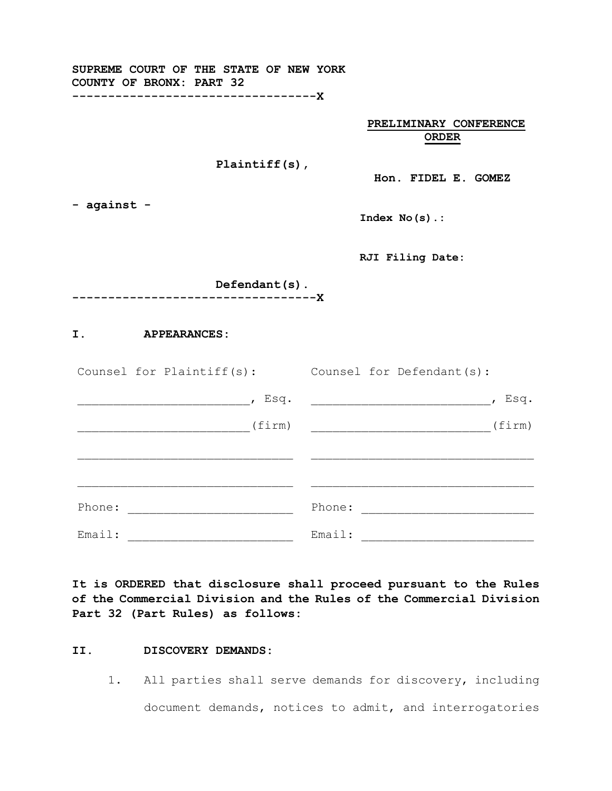| SUPREME COURT OF THE STATE OF NEW YORK<br>COUNTY OF BRONX: PART 32<br>--------------------------------X                       |                        |
|-------------------------------------------------------------------------------------------------------------------------------|------------------------|
|                                                                                                                               | PRELIMINARY CONFERENCE |
|                                                                                                                               | <b>ORDER</b>           |
| Plaintiff $(s)$ ,                                                                                                             | Hon. FIDEL E. GOMEZ    |
| - against -                                                                                                                   | $Index No(s)$ .:       |
|                                                                                                                               | RJI Filing Date:       |
| Defendant(s).                                                                                                                 |                        |
| ------------------------------X                                                                                               |                        |
| I.<br><b>APPEARANCES:</b>                                                                                                     |                        |
| Counsel for Plaintiff(s): Counsel for Defendant(s):                                                                           |                        |
|                                                                                                                               |                        |
| (firm)                                                                                                                        | (firm)                 |
|                                                                                                                               |                        |
|                                                                                                                               |                        |
| Phone:<br><u> 1989 - Johann John Stoff, deutscher Stoffen und der Stoffen und der Stoffen und der Stoffen und der Stoffen</u> | Phone:                 |
| Email:                                                                                                                        | Email:                 |

**It is ORDERED that disclosure shall proceed pursuant to the Rules of the Commercial Division and the Rules of the Commercial Division Part 32 (Part Rules) as follows:** 

#### **II. DISCOVERY DEMANDS:**

1. All parties shall serve demands for discovery, including document demands, notices to admit, and interrogatories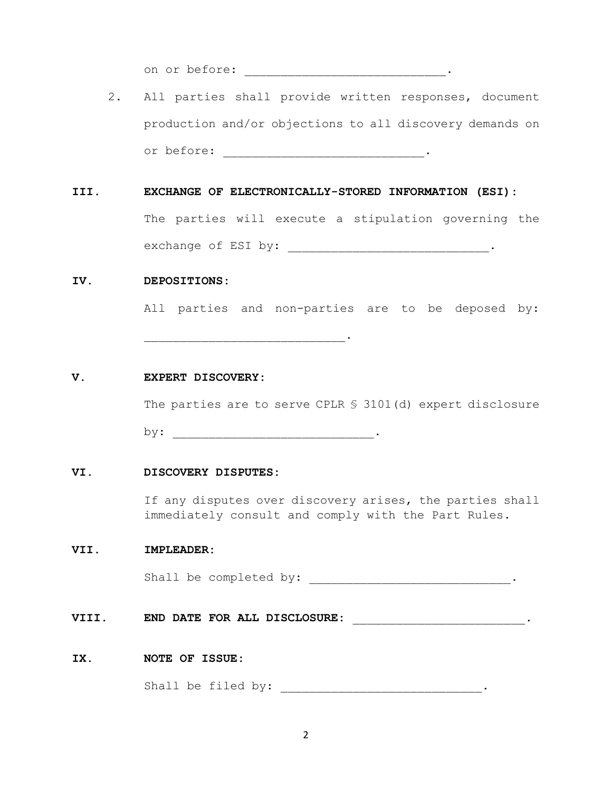on or before: \_\_\_\_\_\_\_\_\_\_\_\_\_\_\_\_\_\_\_\_\_\_\_\_\_\_\_\_\_\_\_\_\_\_.

2. All parties shall provide written responses, document production and/or objections to all discovery demands on or before: \_\_\_\_\_\_\_\_\_\_\_\_\_\_\_\_\_\_\_\_\_\_\_\_\_\_\_\_\_\_\_\_.

## **III. EXCHANGE OF ELECTRONICALLY-STORED INFORMATION (ESI):**

The parties will execute a stipulation governing the exchange of ESI by: \_\_\_\_\_\_\_\_\_\_\_\_\_\_\_\_\_\_\_\_\_\_\_\_\_\_\_\_\_\_\_\_.

### **IV. DEPOSITIONS:**

All parties and non-parties are to be deposed by:

#### **V. EXPERT DISCOVERY:**

The parties are to serve CPLR § 3101(d) expert disclosure

by: \_\_\_\_\_\_\_\_\_\_\_\_\_\_\_\_\_\_\_\_\_\_\_\_\_\_\_\_.

\_\_\_\_\_\_\_\_\_\_\_\_\_\_\_\_\_\_\_\_\_\_\_\_\_\_\_\_.

#### **VI. DISCOVERY DISPUTES:**

If any disputes over discovery arises, the parties shall immediately consult and comply with the Part Rules.

## **VII. IMPLEADER:**

Shall be completed by:  $\cdot$ 

**VIII.** BND DATE FOR ALL DISCLOSURE: \_\_\_\_\_\_\_\_\_\_\_\_\_\_\_\_\_\_\_\_\_\_\_\_\_\_\_\_\_.

## **IX. NOTE OF ISSUE:**

Shall be filed by: \_\_\_\_\_\_\_\_\_\_\_\_\_\_\_\_\_\_\_\_\_\_\_\_\_\_\_\_\_.